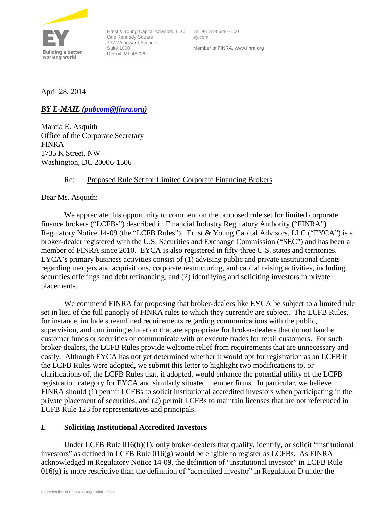

Ernst & Young Capital Advisors, LLC Tel: +1 313-628-7100 One Kennedy Square 777 Woodward Avenue Suite 1000 Detroit, MI 48226

ey.com Member of FINRA. www.finra.org

April 28, 2014

*BY E-MAIL [\(pubcom@finra.org\)](mailto:pubcom@finra.org)*

Marcia E. Asquith Office of the Corporate Secretary FINRA 1735 K Street, NW Washington, DC 20006-1506

## Re: Proposed Rule Set for Limited Corporate Financing Brokers

Dear Ms. Asquith:

We appreciate this opportunity to comment on the proposed rule set for limited corporate finance brokers ("LCFBs") described in Financial Industry Regulatory Authority ("FINRA") Regulatory Notice 14-09 (the "LCFB Rules"). Ernst & Young Capital Advisors, LLC ("EYCA") is a broker-dealer registered with the U.S. Securities and Exchange Commission ("SEC") and has been a member of FINRA since 2010. EYCA is also registered in fifty-three U.S. states and territories. EYCA's primary business activities consist of (1) advising public and private institutional clients regarding mergers and acquisitions, corporate restructuring, and capital raising activities, including securities offerings and debt refinancing, and (2) identifying and soliciting investors in private placements.

We commend FINRA for proposing that broker-dealers like EYCA be subject to a limited rule set in lieu of the full panoply of FINRA rules to which they currently are subject. The LCFB Rules, for instance, include streamlined requirements regarding communications with the public, supervision, and continuing education that are appropriate for broker-dealers that do not handle customer funds or securities or communicate with or execute trades for retail customers. For such broker-dealers, the LCFB Rules provide welcome relief from requirements that are unnecessary and costly. Although EYCA has not yet determined whether it would opt for registration as an LCFB if the LCFB Rules were adopted, we submit this letter to highlight two modifications to, or clarifications of, the LCFB Rules that, if adopted, would enhance the potential utility of the LCFB registration category for EYCA and similarly situated member firms. In particular, we believe FINRA should (1) permit LCFBs to solicit institutional accredited investors when participating in the private placement of securities, and (2) permit LCFBs to maintain licenses that are not referenced in LCFB Rule 123 for representatives and principals.

## **I. Soliciting Institutional Accredited Investors**

Under LCFB Rule  $016(h)(1)$ , only broker-dealers that qualify, identify, or solicit "institutional" investors" as defined in LCFB Rule 016(g) would be eligible to register as LCFBs. As FINRA acknowledged in Regulatory Notice 14-09, the definition of "institutional investor" in LCFB Rule 016(g) is more restrictive than the definition of "accredited investor" in Regulation D under the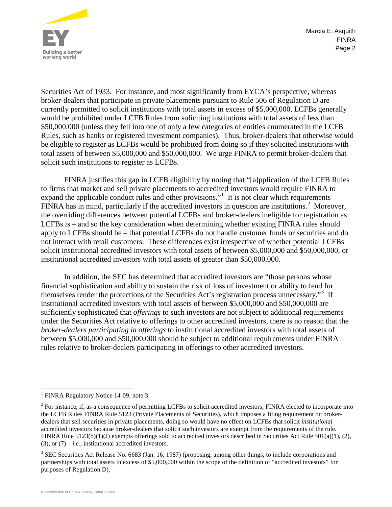

Page 2 Marcia E. Asquith FINRA

Securities Act of 1933. For instance, and most significantly from EYCA's perspective, whereas broker-dealers that participate in private placements pursuant to Rule 506 of Regulation D are currently permitted to solicit institutions with total assets in excess of \$5,000,000, LCFBs generally would be prohibited under LCFB Rules from soliciting institutions with total assets of less than \$50,000,000 (unless they fell into one of only a few categories of entities enumerated in the LCFB Rules, such as banks or registered investment companies). Thus, broker-dealers that otherwise would be eligible to register as LCFBs would be prohibited from doing so if they solicited institutions with total assets of between \$5,000,000 and \$50,000,000. We urge FINRA to permit broker-dealers that solicit such institutions to register as LCFBs.

FINRA justifies this gap in LCFB eligibility by noting that "[a]pplication of the LCFB Rules to firms that market and sell private placements to accredited investors would require FINRA to expand the applicable conduct rules and other provisions."<sup>[1](#page-1-0)</sup> It is not clear which requirements FINRA has in mind, particularly if the accredited investors in question are institutions.<sup>[2](#page-1-1)</sup> Moreover, the overriding differences between potential LCFBs and broker-dealers ineligible for registration as LCFBs is – and so the key consideration when determining whether existing FINRA rules should apply to LCFBs should be – that potential LCFBs do not handle customer funds or securities and do not interact with retail customers. These differences exist irrespective of whether potential LCFBs solicit institutional accredited investors with total assets of between \$5,000,000 and \$50,000,000, or institutional accredited investors with total assets of greater than \$50,000,000.

In addition, the SEC has determined that accredited investors are "those persons whose financial sophistication and ability to sustain the risk of loss of investment or ability to fend for themselves render the protections of the Securities Act's registration process unnecessary."<sup>[3](#page-1-2)</sup> If institutional accredited investors with total assets of between \$5,000,000 and \$50,000,000 are sufficiently sophisticated that *offerings* to such investors are not subject to additional requirements under the Securities Act relative to offerings to other accredited investors, there is no reason that the *broker-dealers participating in offerings* to institutional accredited investors with total assets of between \$5,000,000 and \$50,000,000 should be subject to additional requirements under FINRA rules relative to broker-dealers participating in offerings to other accredited investors.

<span id="page-1-0"></span><sup>&</sup>lt;sup>1</sup> FINRA Regulatory Notice 14-09, note 3.

<span id="page-1-1"></span><sup>&</sup>lt;sup>2</sup> For instance, if, as a consequence of permitting LCFBs to solicit accredited investors, FINRA elected to incorporate into the LCFB Rules FINRA Rule 5123 (Private Placements of Securities), which imposes a filing requirement on brokerdealers that sell securities in private placements, doing so would have no effect on LCFBs that solicit *institutional* accredited investors because broker-dealers that solicit such investors are exempt from the requirements of the rule. FINRA Rule 5123(b)(1)(J) exempts offerings sold to accredited investors described in Securities Act Rule 501(a)(1), (2), (3), or  $(7) - i.e.,$  institutional accredited investors.

<span id="page-1-2"></span><sup>&</sup>lt;sup>3</sup> SEC Securities Act Release No. 6683 (Jan. 16, 1987) (proposing, among other things, to include corporations and partnerships with total assets in excess of \$5,000,000 within the scope of the definition of "accredited investors" for purposes of Regulation D).